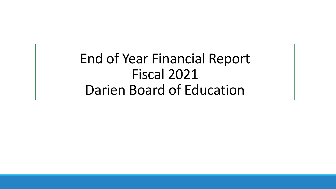End of Year Financial Report Fiscal 2021 Darien Board of Education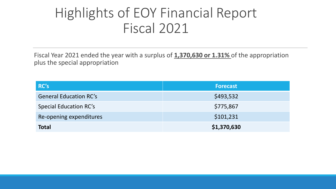#### Highlights of EOY Financial Report Fiscal 2021

Fiscal Year 2021 ended the year with a surplus of **1,370,630 or 1.31%** of the appropriation plus the special appropriation

| <b>RC's</b>                   | <b>Forecast</b> |
|-------------------------------|-----------------|
| <b>General Education RC's</b> | \$493,532       |
| <b>Special Education RC's</b> | \$775,867       |
| Re-opening expenditures       | \$101,231       |
| <b>Total</b>                  | \$1,370,630     |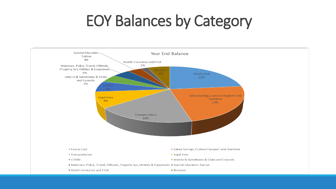# EOY Balances by Category

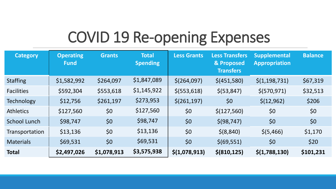# COVID 19 Re-opening Expenses

| <b>Category</b>   | <b>Operating</b><br><b>Fund</b> | <b>Grants</b> | <b>Total</b><br><b>Spending</b> | <b>Less Grants</b> | <b>Less Transfers</b><br>& Proposed<br><b>Transfers</b> | <b>Supplemental</b><br><b>Appropriation</b> | <b>Balance</b> |
|-------------------|---------------------------------|---------------|---------------------------------|--------------------|---------------------------------------------------------|---------------------------------------------|----------------|
| <b>Staffing</b>   | \$1,582,992                     | \$264,097     | \$1,847,089                     | \$(264,097)        | \$(451,580)                                             | $\frac{\xi(1,198,731)}{}$                   | \$67,319       |
| <b>Facilities</b> | \$592,304                       | \$553,618     | \$1,145,922                     | \$(553, 618)       | \$ (53, 847)                                            | \$(570, 971)                                | \$32,513       |
| <b>Technology</b> | \$12,756                        | \$261,197     | \$273,953                       | \$(261, 197)       | \$0                                                     | \$(12, 962)                                 | \$206          |
| <b>Athletics</b>  | \$127,560                       | \$0           | \$127,560                       | \$0                | \$(127,560)                                             | \$0                                         | \$0            |
| School Lunch      | \$98,747                        | \$0           | \$98,747                        | \$0                | \$ (98, 747)                                            | \$0                                         | \$0            |
| Transportation    | \$13,136                        | \$0           | \$13,136                        | \$0                | \$ (8, 840)                                             | \$ (5,466)                                  | \$1,170        |
| <b>Materials</b>  | \$69,531                        | \$0           | \$69,531                        | \$0                | \$ (69, 551)                                            | \$0                                         | \$20           |
| <b>Total</b>      | \$2,497,026                     | \$1,078,913   | \$3,575,938                     | \$(1,078,913)      | \$ (810, 125)                                           | \$(1,788,130)                               | \$101,231      |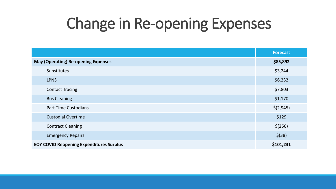# Change in Re-opening Expenses

|                                                 | <b>Forecast</b> |
|-------------------------------------------------|-----------------|
| <b>May (Operating) Re-opening Expenses</b>      | \$85,892        |
| Substitutes                                     | \$3,244         |
| <b>LPNS</b>                                     | \$6,232         |
| <b>Contact Tracing</b>                          | \$7,803         |
| <b>Bus Cleaning</b>                             | \$1,170         |
| <b>Part Time Custodians</b>                     | \$(2,945)       |
| <b>Custodial Overtime</b>                       | \$129           |
| <b>Contract Cleaning</b>                        | \$(256)         |
| <b>Emergency Repairs</b>                        | $$$ (38)        |
| <b>EOY COVID Reopening Expenditures Surplus</b> | \$101,231       |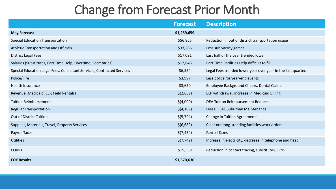#### Change from Forecast Prior Month

|                                                                        | <b>Forecast</b> | <b>Description</b>                                           |
|------------------------------------------------------------------------|-----------------|--------------------------------------------------------------|
| <b>May Forecast</b>                                                    | \$1,259,659     |                                                              |
| <b>Special Education Transportation</b>                                | \$56,865        | Reduction in out of district transportation usage            |
| Athletic Transportation and Officials                                  | \$33,266        | Less sub varsity games                                       |
| <b>District Legal Fees</b>                                             | \$17,091        | Last half of the year trended lower                          |
| Salaries (Substitutes, Part Time Help, Overtime, Secretaries)          | \$12,646        | Part Time Facilities Help difficult to fill                  |
| Special Education Legal Fees, Consultant Services, Contracted Services | \$6,554         | Legal Fees trended lower year over year in the last quarter. |
| Police/Fire                                                            | \$3,997         | Less police for year-end events                              |
| Health Insurance                                                       | \$3,650         | Employee Background Checks, Dental Claims                    |
| Revenue (Medicaid, ELP, Field Rentals)                                 | \$(2,669)       | ELP withdrawal, increase in Medicaid Billing                 |
| <b>Tuition Reimbursement</b>                                           | \$(4,000)       | DEA Tuition Reimbursement Request                            |
| <b>Regular Transportation</b>                                          | \$(4,109)       | Diesel Fuel, Suburban Maintenance                            |
| Out of District Tuition                                                | \$(5,794)       | <b>Change in Tuition Agreements</b>                          |
| Supplies, Materials, Travel, Property Services                         | \$(6,689)       | Clear out long-standing facilities work orders               |
| Payroll Taxes                                                          | \$(7,434)       | Payroll Taxes                                                |
| <b>Utilities</b>                                                       | \$(7, 742)      | Increase in electricity, decrease in telephone and heat      |
| <b>COVID</b>                                                           | \$15,339        | Reduction in contact tracing, substitutes, LPNS.             |
| <b>EOY Results</b>                                                     | \$1,370,630     |                                                              |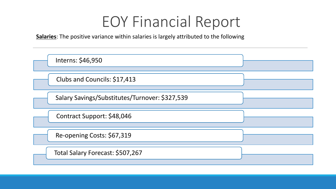**Salaries**: The positive variance within salaries is largely attributed to the following

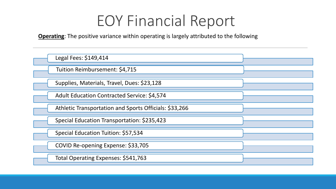**Operating**: The positive variance within operating is largely attributed to the following

| Legal Fees: \$149,414                                  |  |
|--------------------------------------------------------|--|
| Tuition Reimbursement: \$4,715                         |  |
| Supplies, Materials, Travel, Dues: \$23,128            |  |
| <b>Adult Education Contracted Service: \$4,574</b>     |  |
| Athletic Transportation and Sports Officials: \$33,266 |  |
| Special Education Transportation: \$235,423            |  |
| Special Education Tuition: \$57,534                    |  |
| COVID Re-opening Expense: \$33,705                     |  |
| Total Operating Expenses: \$541,763                    |  |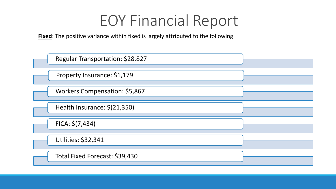**Fixed**: The positive variance within fixed is largely attributed to the following

| Regular Transportation: \$28,827 |  |
|----------------------------------|--|
| Property Insurance: \$1,179      |  |
| Workers Compensation: \$5,867    |  |
| Health Insurance: \$(21,350)     |  |
| $FICA: \xi(7,434)$               |  |
| <b>Utilities: \$32,341</b>       |  |
| Total Fixed Forecast: \$39,430   |  |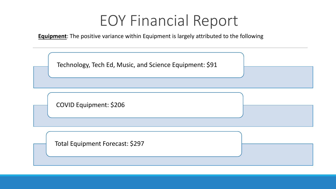**Equipment**: The positive variance within Equipment is largely attributed to the following

Technology, Tech Ed, Music, and Science Equipment: \$91

COVID Equipment: \$206

Total Equipment Forecast: \$297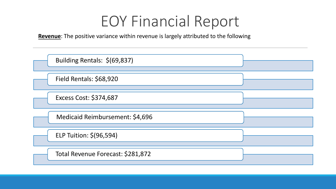**Revenue**: The positive variance within revenue is largely attributed to the following

| Building Rentals: \$(69,837)      |  |
|-----------------------------------|--|
| Field Rentals: \$68,920           |  |
| Excess Cost: \$374,687            |  |
| Medicaid Reimbursement: \$4,696   |  |
| ELP Tuition: \$(96,594)           |  |
| Total Revenue Forecast: \$281,872 |  |